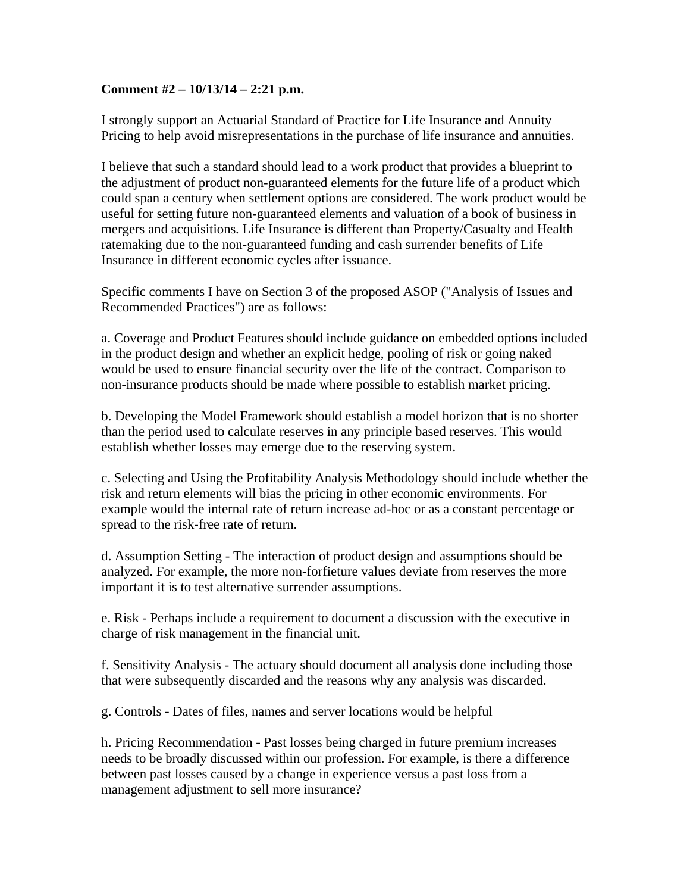## **Comment #2 – 10/13/14 – 2:21 p.m.**

I strongly support an Actuarial Standard of Practice for Life Insurance and Annuity Pricing to help avoid misrepresentations in the purchase of life insurance and annuities.

I believe that such a standard should lead to a work product that provides a blueprint to the adjustment of product non-guaranteed elements for the future life of a product which could span a century when settlement options are considered. The work product would be useful for setting future non-guaranteed elements and valuation of a book of business in mergers and acquisitions. Life Insurance is different than Property/Casualty and Health ratemaking due to the non-guaranteed funding and cash surrender benefits of Life Insurance in different economic cycles after issuance.

Specific comments I have on Section 3 of the proposed ASOP ("Analysis of Issues and Recommended Practices") are as follows:

a. Coverage and Product Features should include guidance on embedded options included in the product design and whether an explicit hedge, pooling of risk or going naked would be used to ensure financial security over the life of the contract. Comparison to non-insurance products should be made where possible to establish market pricing.

b. Developing the Model Framework should establish a model horizon that is no shorter than the period used to calculate reserves in any principle based reserves. This would establish whether losses may emerge due to the reserving system.

c. Selecting and Using the Profitability Analysis Methodology should include whether the risk and return elements will bias the pricing in other economic environments. For example would the internal rate of return increase ad-hoc or as a constant percentage or spread to the risk-free rate of return.

d. Assumption Setting - The interaction of product design and assumptions should be analyzed. For example, the more non-forfieture values deviate from reserves the more important it is to test alternative surrender assumptions.

e. Risk - Perhaps include a requirement to document a discussion with the executive in charge of risk management in the financial unit.

f. Sensitivity Analysis - The actuary should document all analysis done including those that were subsequently discarded and the reasons why any analysis was discarded.

g. Controls - Dates of files, names and server locations would be helpful

h. Pricing Recommendation - Past losses being charged in future premium increases needs to be broadly discussed within our profession. For example, is there a difference between past losses caused by a change in experience versus a past loss from a management adjustment to sell more insurance?